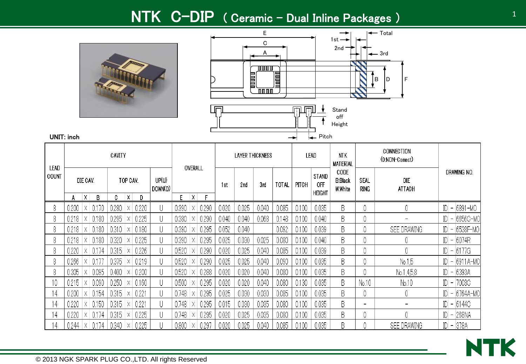## NTK C-DIP ( Ceramic – Dual Inline Packages )





| LEAD  |       |          |       | CAVITY |          |       |                  |       | OVERALL |       |       | LAYER THICKNESS |       |              | LEAD  |                                             | NTK<br><b>MATERIAL</b>            |                          | CONNECTION<br>(0:NON-Conect) |                      |
|-------|-------|----------|-------|--------|----------|-------|------------------|-------|---------|-------|-------|-----------------|-------|--------------|-------|---------------------------------------------|-----------------------------------|--------------------------|------------------------------|----------------------|
| COUNT |       | DIE CAV. |       |        | TOP CAV. |       | UP(U)<br>DOWN(D) |       |         |       | 1st   | 2 <sub>nd</sub> | 3rd   | <b>TOTAL</b> | PITCH | <b>STAND</b><br><b>OFF</b><br><b>HEIGHT</b> | CODE<br><b>B:Black</b><br>W:White | SEAL<br><b>RING</b>      | DIE<br><b>ATTACH</b>         | DRAWING NO.          |
|       | A     | X        | B     | C      | X        | Ð     |                  | E.    | X       |       |       |                 |       |              |       |                                             |                                   |                          |                              |                      |
| 8     | 0.200 | Χ        | 0.170 | 0.280  |          | 0.220 | U                | 0.390 |         | 0.290 | 0.020 | 0.025           | 0.040 | 0.085        | 0.100 | 0.035                                       | B.                                |                          |                              | IDI -<br>6891-MO     |
| 8     | 0.218 | Χ        | 0.180 | 0.295  |          | 0.225 | U                | 0.380 | Х       | 0.290 | 0.040 | 0.040           | 0.068 | 0.148        | 0.100 | 0.040                                       | B.                                |                          |                              | $ D  - 6656C$ -MC    |
| 8     | 0.218 |          | 0.180 | 0.310  |          | 0.180 | U                | 0.390 | Х       | 0.295 | 0.052 | 0.040           |       | 0.092        | 0.100 | 0.039                                       | B.                                |                          | SEE DRAWING                  | ID -<br>6538F-MO     |
| 8     | 0.218 |          | 0.180 | 0.320  |          | 0.225 | U                | 0.390 |         | 0.295 | 0.025 | 0.030           | 0.025 | 0.080        | 0.100 | 0.040                                       | B.                                |                          |                              | ID -<br>16074R       |
| 8     | 0.220 |          | 74    | 0.315  |          | 0.226 | U                | 0.520 |         | 0.290 | 0.020 | 0.025           | 0.040 | 0.085        | 0.100 | 0.039                                       | B.                                |                          |                              | 6177G<br>IDI -       |
| 8     | 0.266 |          |       | 0.375  |          | 0.219 | U                | 0.520 |         | 0.290 | 0.025 | 0.025           | 0.040 | 0.090        | 0.100 | 0.035                                       | B.                                |                          | No.1.5                       | $ D  -  6911A-MO $   |
| 8     | 0.305 | Χ        | 0.095 | 0.400  | Х        | 0.200 | U                | 0.520 | Х       | 0.288 | 0.020 | 0.020           | 0.040 | 0.080        | 0.100 | 0.035                                       | B.                                |                          | No.1,4,5,8                   | $ D  - 6393A$        |
| 10    | 0.215 | Χ        | 0.090 | 0.250  | X        | 0.160 | U                | 0.500 | Х       | 0.295 | 0.020 | 0.020           | 0.040 | 0.080        | 0.130 | 0.035                                       | B.                                | No.10                    | No.10                        | $ D $ –<br>7003C     |
| 14    | 0.200 | X.       | 0.154 | 0.315  | Х        | 0.221 | U                | 0.748 | ΙX.     | 0.295 | 0.025 | 0.030           | 0.030 | 0.085        | 0.100 | 0.035                                       | B.                                |                          |                              | $ D $ –<br> 6764A-MO |
| 14    | 0.220 | X.       | 0.150 | 0.315  |          | 0.221 | U                | 0.748 | Χ       | 0.295 | 0.015 | 0.030           | 0.035 | 0.080        | 0.100 | 0.035                                       | B.                                | $\overline{\phantom{0}}$ |                              | $ D  - 6144C$        |
| 4     | 0.220 | Χ        | 0.174 | 0.315  |          | 0.225 | U                | 0.748 |         | 0.295 | 0.020 | 0.025           | 0.035 | 0.080        | 0.100 | 0.035                                       | B.                                |                          |                              | $ D  - 268NA$        |
| 4     | 0.244 |          | 174   | 0.340  |          | 0.225 |                  | 0.800 |         | 0.297 | 0.020 | 0.025           | 0.040 | 0.085        | 0.100 | 0.035                                       | B                                 |                          | SEE DRAWING                  | IDI - 1378A          |

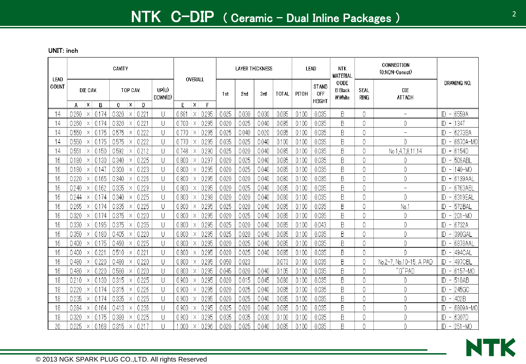| LEAD  |                            |                | CAVITY           |                |       |                  |       | OVERALL           |       | <b>LAYER THICKNESS</b> |       |              |       | LEAD                                 | <b>NTK</b><br><b>MATERIAL</b>      |                     | CONNECTION<br>(0:NON-Conect) |              |                                           |
|-------|----------------------------|----------------|------------------|----------------|-------|------------------|-------|-------------------|-------|------------------------|-------|--------------|-------|--------------------------------------|------------------------------------|---------------------|------------------------------|--------------|-------------------------------------------|
| COUNT | DIE CAV.<br>X<br>A         | $\overline{B}$ | C.               | TOP CAV.<br>ΙX | D     | UP(U)<br>DOWN(D) | E     | X<br>F            | 1st   | 2nd                    | 3rd   | <b>TOTAL</b> | PITCH | <b>STAND</b><br>0FF<br><b>HEIGHT</b> | CODE<br><b>B:Black</b><br>W: White | SEAL<br><b>RING</b> | <b>DIE</b><br><b>ATTACH</b>  |              | DRAWING NO.                               |
| 14    | 0260<br>Χ                  | 0.174          | 0.320            | $\times$       | 0.22  | U                | 0.681 | 0.295<br>$\times$ | 0.025 | 0.030                  | 0.030 | 0.085        | 0.100 | 0.035                                | B                                  | 0                   | $\overline{\phantom{0}}$     | ID.          | 6559A<br>$\overline{\phantom{a}}$         |
| 14    | 0.260<br>Χ                 | 0.174          | 0.320            | $\times$       | 0.22  | U                | 0.700 | 0.295<br>Χ        | 0.020 | 0.025                  | 0.040 | 0.085        | 0.100 | 0.035                                | B                                  | 0                   | 0                            | ID.          | <b>134T</b><br>$\qquad \qquad -$          |
| 14    | 0.550<br>Χ                 | 0.175          | 0.575            | X              | 0.222 | U                | 0.770 | 0.295<br>$\times$ | 0.025 | 0.040                  | 0.020 | 0.085        | 0.100 | 0.035                                | B                                  | 0                   | $\overline{a}$               | ID.          | 6273BA<br>$\overline{\phantom{m}}$        |
| 14    | 0.550<br>$\times$          | 0.175          | 0.575            | X              | 0.222 | U                | 0.770 | 0.295<br>Χ        | 0.035 | 0.025                  | 0.040 | 0.100        | 0.100 | 0.035                                | B                                  | 0                   | 0                            |              | 6670A-MO                                  |
| 14    | 0.551<br>Χ                 | 0.150          | 0.592            |                | 0.212 | U                | 0.748 | 0.290<br>X        | 0.025 | 0.020                  | 0.040 | 0.085        | 0.100 | 0.035                                | B                                  | 0                   | No.1,4,7,8,11,14             | ID           | 6154D<br>$\overline{\phantom{m}}$         |
| 16    | 0.180<br>X.                | -0.130         | 0.340            | X              | 0.225 | U                | 0.800 | 0.297<br>X        | 0.020 | 0.025                  | 0.040 | 0.085        | 0.100 | 0.035                                | B                                  | 0                   | 0                            | ID           | $-509ABL$                                 |
| 16    | 0.180<br>IX.               | 0.147          | 0.300            | $\times$       | 0.223 | U                | 0.800 | 0.295<br>Χ        | 0.020 | 0.025                  | 0.040 | 0.085        | 0.100 | 0.035                                | B                                  | 0                   | 0                            | ID           | 140-MO<br>$\hspace{0.1mm}-\hspace{0.1mm}$ |
| 16    | 0.220<br>Χ                 | 0.165          | 0.340            | X              | 0.226 | U                | 0.800 | 0.295<br>X        | 0.020 | 0.020                  | 0.040 | 0.080        | 0.100 | 0.035                                | B                                  | $\overline{0}$      | 0                            | ID           | $-6139AAL$                                |
| 16    | 0.240<br>Χ                 | 0.162          | 0.335            | Х              | 0.229 | U                | 0.800 | 0.295<br>Χ        | 0.020 | 0.025                  | 0.040 | 0.085        | 0.100 | 0.035                                | B                                  | $\overline{0}$      | $\overline{\phantom{0}}$     | $\mathbb{D}$ | 6763ABL<br>$\overline{a}$                 |
| 16    | 0.244<br>Χ                 | 0.174          | 0.340            | X              | 0.225 | U                | 0.800 | 0.298<br>Χ        | 0.020 | 0.020                  | 0.040 | 0.080        | 0.100 | 0.035                                | B                                  | 0                   | 0                            | $\mathbb{D}$ | 6319EAL<br>$\overline{ }$                 |
| 16    | 0.265<br>X.                | 0.174          | 0.335            | X              | 0.225 | U                | 0.800 | 0.295<br>Χ        | 0.025 | 0.020                  | 0.040 | 0.085        | 0.100 | 0.035                                | B                                  | $\overline{0}$      | No.1                         | ID           | 572BAL<br>$\overline{\phantom{a}}$        |
| 16    | 0.320<br>$\times$          | 0.174          | 0.375            | $\times$       | 0.220 | U                | 0.800 | 0.295<br>X        | 0.020 | 0.025                  | 0.040 | 0.085        | 0.100 | 0.035                                | B                                  | 0                   | 0                            | ID.          | 201-MO<br>$\overline{\phantom{a}}$        |
| 16    | 0.330<br>Χ                 | 0.195          | 0.375            | $\times$       | 0.235 | U                | 0.800 | 0.295<br>Χ        | 0.025 | 0.020                  | 0.040 | 0.085        | 0.100 | 0.043                                | B                                  | 0                   | 0                            | ID.          | 6732A<br>$\overline{\phantom{a}}$         |
| 16    | 0.350<br>X                 | 0.180          | 0.405            | $\times$       | 0.220 | U                | 0.800 | 0.295<br>$\times$ | 0.025 | 0.020                  | 0.040 | 0.085        | 0.100 | 0.035                                | B                                  | 0                   | 0                            | ID.          | 390GAL<br>$\overline{\phantom{0}}$        |
| 16    | 0.400<br>Х                 | 0.175          | 0.460            | X              | 0.225 | U                | 0.800 | 0.295<br>Χ        | 0.020 | 0.025                  | 0.040 | 0.085        | 0.100 | 0.035                                | B                                  | 0                   | 0                            |              | 6878AAL                                   |
| 16    | 0.400<br>Χ                 | 0.22           | 0.510            | X              | 0.221 | U                | 0.800 | 0.295<br>X        | 0.020 | 0.025                  | 0.040 | 0.085        | 0.100 | 0.035                                | B                                  | 0                   | 0                            |              | 494CAL                                    |
| 16    | 0.480<br>X                 | 0.22C          | 0.480            | Х              | 0.220 | U                | 0.800 | 0.295<br>X        | 0.050 | 0.023                  |       | 0.073        | 0.100 | 0.035                                | B                                  |                     | No.10-15, A PAD<br>$No.2-7.$ | ID           | 497CBL<br>$\overline{\phantom{a}}$        |
| 16    | 0.480<br>Χ                 | 0.220          | 0.580            | X              | 0.220 | U                | 0.800 | 0.295<br>X        | 0.045 | 0.020                  | 0.040 | 0.105        | 0.100 | 0.035                                | B                                  | 0                   | "G"PAD                       |              | $ D  - 6157 - MO$                         |
| 18    | 0.210<br>Χ                 | 0.130          | 0.315            | $\times$       | 0.225 | U                | 0.900 | 0.295<br>X        | 0.020 | 0.015                  | 0.045 | 0.080        | 0.100 | 0.035                                | B                                  | 0                   |                              | ID           | $-510AB$                                  |
| 18    | 0.220<br>Χ                 | 0.174          | 0.315            | X              | 0.226 | U                | 0.900 | 0.295<br>Χ        | 0.020 | 0.025                  | 0.040 | 0.085        | 0.100 | 0.035                                | B                                  | 0                   | 0                            |              | 245GC<br>$ D $ –                          |
| 18    | 0.235<br>X.                | 0.174          | 0.335            | Х              | 0.225 | U                | 0.900 | 0.295<br>Χ        | 0.020 | 0.025                  | 0.040 | 0.085        | 0.100 | 0.035                                | B                                  | 0                   | 0                            | D            | 402B<br>$\overline{a}$                    |
| 18    | 0.284<br>X                 | 0.164          | 0.413            | X              | 0.236 | U                | 0.900 | 0.295<br>Χ        | 0.025 | 0.020                  | 0.040 | 0.085        | 0.100 | 0.035                                | B                                  | 0                   | 0                            | D            | 6809A-MO<br>$\overline{a}$                |
| 18    | 0.320<br>Χ                 | 0.175          | 0.380            | $\times$       | 0.225 | U                | 0.900 | 0.295<br>X        | 0.035 | 0.035                  | 0.030 | 0.100        | 0.100 | 0.035                                | B                                  | 0                   | 0                            |              | 6307D<br>$ D $ –                          |
| 20    | 0.225<br>$\vert$ X $\vert$ | 0.168          | $0.315$ $\times$ |                | 0217  |                  | 1.000 | 0.296<br>ΙX       | 0.020 | 0.025                  | 0.040 | 0.085        | 0.100 | 0.035                                | B                                  | 0                   |                              |              | $ D  - 251 - MO$                          |

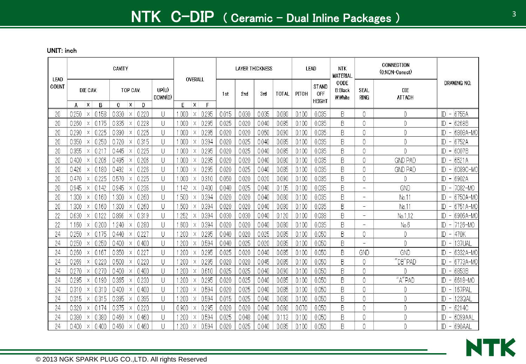| LEAD  |       |               |       | CAVITY |               |       |                  | OVERALL          |       |       | <b>LAYER THICKNESS</b> |       |              |       | <b>LEAD</b>                          | <b>NTK</b><br><b>MATERIAL</b>            |                          | CONNECTION<br>(0:NON-Conect) |                                             |
|-------|-------|---------------|-------|--------|---------------|-------|------------------|------------------|-------|-------|------------------------|-------|--------------|-------|--------------------------------------|------------------------------------------|--------------------------|------------------------------|---------------------------------------------|
| COUNT | A     | DIE CAV.<br>X | B     | C      | TOP CAV.<br>X | D     | UP(U)<br>DOWN(D) | F<br>X           | E     | 1st   | 2 nd                   | 3rd   | <b>TOTAL</b> | PITCH | <b>STAND</b><br>OFF<br><b>HEIGHT</b> | CODE<br><b>B:Black</b><br><b>W:White</b> | SEAL<br><b>RING</b>      | <b>DIE</b><br><b>ATTACH</b>  | DRAWING NO.                                 |
| 20    | 0.250 | $\times$      | 0.158 | 0.330  | $\times$      | 0.220 | U                | .000<br>$\times$ | 0.295 | 0.015 | 0.030                  | 0.035 | 0.080        | 0.100 | 0.035                                | B                                        | 0                        | 0                            | 6755A<br>ID.<br>$\overline{\phantom{a}}$    |
| 20    | 0.260 | X.            | 0.175 | 0.335  | Χ             | 0.228 | U                | .000<br>X        | 0.295 | 0.025 | 0.020                  | 0.040 | 0.085        | 0.100 | 0.035                                | B                                        | 0                        | 0                            | 6268B<br>ID<br>$\overline{\phantom{a}}$     |
| 20    | 0.290 | Χ             | 0.225 | 0.390  | X             | 0.225 | U                | .000<br>$\times$ | 0.295 | 0.020 | 0.020                  | 0.050 | 0.090        | 0.100 | 0.035                                | B                                        | 0                        | 0                            | 6808A-MO<br>ID.                             |
| 20    | 0.350 | X             | 0.250 | 0.720  | $\times$      | 0.315 | U                | .000<br>X        | 0.394 | 0.020 | 0.025                  | 0.040 | 0.085        | 0.100 | 0.035                                | B                                        | $\theta$                 | 0                            | ID<br>6752A                                 |
| 20    | 0.355 |               | 0.21  | 0.445  |               | 0.225 | U                | .000<br>X        | 0.295 | 0.020 | 0.025                  | 0.040 | 0.085        | 0.100 | 0.035                                | B                                        | 0                        | 0                            | 6007B<br>ID<br>$\qquad \qquad -$            |
| 20    | 0.400 | X             | 0.206 | 0.495  | Χ             | 0.206 | U                | .000<br>X        | 0.295 | 0.020 | 0.020                  | 0.040 | 0.080        | 0.100 | 0.035                                | B                                        | 0                        | <b>GND PAD</b>               | ID<br>6521A<br>$\overline{\phantom{a}}$     |
| 20    | 0.426 |               | 0.180 | 0.492  | Х             | 0.226 | U                | .000<br>Χ        | 0.295 | 0.020 | 0.025                  | 0.040 | 0.085        | 0.100 | 0.035                                | B                                        | 0                        | <b>GND PAD</b>               | 6089C-MO<br>ID                              |
| 20    | 0.470 | X             | 0.225 | 0.570  | X             | 0.225 | U                | .000<br>X        | 0.310 | 0.050 | 0.020                  | 0.020 | 0.090        | 0.100 | 0.035                                | B                                        | 0                        | 0                            | 6902A<br>ID                                 |
| 20    | 0.945 | Χ             | 0.142 | 0.945  | Χ             | 0.236 | U                | .142<br>Χ        | 0.400 | 0.040 | 0.025                  | 0.040 | 0.105        | 0.100 | 0.035                                | B                                        | $\overline{\phantom{a}}$ | GND                          | 7082-MO<br>ID<br>$\overline{\phantom{m}}$   |
| 20    | .300  | X.            | 0.160 | .300   | Χ             | 0.260 | U                | 1.500<br>X       | 0.394 | 0.020 | 0.020                  | 0.040 | 0.080        | 0.100 | 0.035                                | B                                        |                          | No.11                        | 6750A-MO<br>ID.                             |
| 20    | -300  | X.            | 0.160 | .300   | X             | 0.260 | U                | .500<br>Χ        | 0.394 | 0.020 | 0.020                  | 0.040 | 0.080        | 0.100 | 0.035                                | B                                        | $\overline{\phantom{0}}$ | No.11                        | 6751A-MO<br>ID<br>$\overline{\phantom{a}}$  |
| 22    | 0.630 | $\times$      | 0.122 | 0.866  | Χ             | 0.319 | U                | 1.252<br>X       | 0.394 | 0.030 | 0.030                  | 0.040 | 0.120        | 0.100 | 0.038                                | B                                        |                          | No.1.12                      | 6906A-MO<br>ID.                             |
| 22    | -160  | Χ             | 0.200 | .240   | Х             | 0.280 | U                | .600<br>Χ        | 0.394 | 0.020 | 0.02C                  | 0.040 | 0.080        | 0.100 | 0.035                                | B                                        | ÷                        | No.6                         | 7126-MO<br>IDI<br>$\overline{\phantom{a}}$  |
| 24    | 0250  | X.            | 0.175 | 0.440  | Χ             | 0.227 | U                | .200<br>Χ        | 0.295 | 0.040 | 0.020                  | 0.025 | 0.085        | 0.100 | 0.050                                | B                                        | 0                        | 0                            | 470K<br>IDI<br>$\overline{\phantom{a}}$     |
| 24    | 0.250 | X.            | 0.250 | 0.400  | ΙX            | 0.400 | U                | .200<br>X        | 0.594 | 0.040 | 0.025                  | 0.020 | 0.085        | 0.100 | 0.050                                | B                                        | $\equiv$                 | 0                            | 137UAL<br>IDI<br>$\overline{\phantom{a}}$   |
| 24    | 0.260 | X             | 0.16  | 0.350  | Χ             | 0.227 | U                | .200<br>Χ        | 0.295 | 0.025 | 0.020                  | 0.040 | 0.085        | 0.100 | 0.050                                | B                                        | GND                      | GND                          | 6332A-MO<br>IDI<br>$\overline{\phantom{0}}$ |
| 24    | 0.269 | X.            | 0.220 | 0.500  | Χ             | 0.220 | U                | .200<br>Χ        | 0.295 | 0.020 | 0.020                  | 0.045 | 0.085        | 0.100 | 0.050                                | B                                        | 0                        | "DB"PAD                      | 6773A-MO<br>ID<br>$\overline{\phantom{a}}$  |
| 24    | 0.270 | Χ             | 0.270 | 0.400  | X             | 0.400 | U                | .200<br>Χ        | 0.610 | 0.025 | 0.025                  | 0.040 | 0.090        | 0.100 | 0.050                                | B                                        | 0                        |                              | ID.<br>6853B<br>$\qquad \qquad -$           |
| 24    | 0.295 | Χ             | 0.190 | 0.365  | $\times$      | 0.230 | U                | .200<br>X        | 0.295 | 0.020 | 0.025                  | 0.040 | 0.085        | 0.100 | 0.050                                | B                                        | 0                        | ''A''PAD                     | ID<br>6618-MO                               |
| 24    | 0.310 | Χ             | 0.310 | 0.400  |               | 0.400 | U                | .200<br>X        | 0.594 | 0.020 | 0.025                  | 0.040 | 0.085        | 0.100 | 0.050                                | B                                        | 0                        | 0                            | ID<br>167PAL<br>$\overline{\phantom{a}}$    |
| 24    | 0.315 | X             | 0.315 | 0.395  | Χ             | 0.395 | U                | .200<br>Χ        | 0.594 | 0.015 | 0.025                  | 0.040 | 0.080        | 0.100 | 0.050                                | B                                        | 0                        | 0                            | 123QAL<br>ID                                |
| 24    | 0.320 | Χ             | 0.174 | 0.375  | Χ             | 0.220 | U                | 0.900<br>Χ       | 0.295 | 0.020 | 0.020                  | 0.040 | 0.080        | 0.070 | 0.050                                | B                                        | 0                        | 0                            | 6214C<br>IDI<br>$\overline{\phantom{a}}$    |
| 24    | 0.380 | Χ             | 0.380 | 0.460  | Χ             | 0.460 | U                | 1.200<br>Χ       | 0.594 | 0.025 | 0.048                  | 0.040 | 0.113        | 0.100 | 0.050                                | B                                        | 0                        | 0                            | 6099AAL<br>ID                               |
| 24    | 0.400 | X.            | 0.400 | 0.460  | $\times$      | 0.460 | U                | .200<br>Χ        | 0.594 | 0.020 | 0.025                  | 0.040 | 0.085        | 0.100 | 0.050                                | B                                        | 0                        | 0                            | <b>690AAL</b><br>$ D $ –                    |

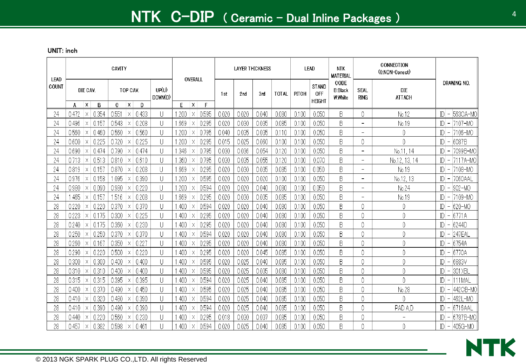| LEAD  |            |          |            | CAVITY      |          |            |                  |            | OVERALL                                            |            |       | <b>LAYER THICKNESS</b> |       |              |       | <b>LEAD</b>                          | <b>NTK</b><br><b>MATERIAL</b>     |                            | CONNECTION<br>(0:NON-Conect) |                                                      |
|-------|------------|----------|------------|-------------|----------|------------|------------------|------------|----------------------------------------------------|------------|-------|------------------------|-------|--------------|-------|--------------------------------------|-----------------------------------|----------------------------|------------------------------|------------------------------------------------------|
| COUNT |            | DIE CAV. |            |             | TOP CAV. |            | UP(U)<br>DOWN(D) |            |                                                    |            | 1st   | 2 nd                   | 3rd   | <b>TOTAL</b> | PITCH | <b>STAND</b><br>OFF<br><b>HEIGHT</b> | CODE<br><b>B:Black</b><br>W:White | <b>SEAL</b><br><b>RING</b> | <b>DIE</b><br><b>ATTACH</b>  | DRAWING NO.                                          |
| 24    | A<br>0.472 | X<br>Χ   | B<br>0.354 | C.<br>0.551 | X<br>Χ   | D<br>0.433 | U                | E<br>1.200 | $\boldsymbol{\mathsf{x}}$<br>$\boldsymbol{\times}$ | F<br>0.595 | 0.020 | 0.020                  | 0.040 | 0.080        | 0.100 | 0.050                                | B                                 | 0                          | No.12                        | 563CA-MC<br>$ D $ –                                  |
| 24    | 0.496      | Χ        | 0.15       | 0.543       | Χ        | 0.208      | U                | .669       | Χ                                                  | 0.295      | 0.020 | 0.030                  | 0.035 | 0.085        | 0.100 | 0.050                                | B                                 | $\overline{\phantom{0}}$   | No.19                        | 17107-MO<br>$ D $ –                                  |
| 24    | 0.560      | X        | 0.460      | 0.560       | Χ        | 0.560      | U                | 1.200      | Χ                                                  | 0.795      | 0.040 | 0.035                  | 0.035 | 0.110        | 0.100 | 0.050                                | B                                 | $\overline{\phantom{0}}$   | 0                            | $ D  -  7106 - MO$                                   |
| 24    | 0.600      | X        | 0.225      | 0.720       | Χ        | 0.225      | U                | .200       | Χ                                                  | 0.295      | 0.015 | 0.025                  | 0.060 | 0.100        | 0.100 | 0.050                                | B                                 | 0                          | 0                            | 6087B<br>ID<br>$\overline{\phantom{a}}$              |
| 24    | 0.690      |          | 0.474      | 0.790       | Χ        | 0.474      | U                | 346        | Χ                                                  | 0.795      | 0.030 | 0.036                  | 0.054 | 0.120        | 0.100 | 0.050                                | B                                 | $\overline{\phantom{0}}$   | No.11, 14                    | 7099B-MO<br>$ D $ –                                  |
| 24    | 0.713      | X        | 0.513      | 0.810       | Χ        | 0.610      | U                | 1.360      | Χ                                                  | 0.795      | 0.030 | 0.035                  | 0.055 | 0.120        | 0.100 | 0.070                                | B                                 | $\overline{\phantom{0}}$   | No.12, 13, 14                | 7117A-MO<br>$\overline{\phantom{a}}$                 |
| 24    | 0.819      | Χ        | 0.15       | 0.870       | Χ        | 0.208      | U                | 1.669      | $\times$                                           | 0.295      | 0.020 | 0.030                  | 0.035 | 0.085        | 0.100 | 0.050                                | B                                 | -                          | No.19                        | $ D  -  7108 - MO$                                   |
| 24    | 0.976      | Χ        | 0.158      | 1.095       | $\times$ | 0.390      | U                | 1.200      | X                                                  | 0.595      | 0.020 | 0.020                  | 0.020 | 0.100        | 0.100 | 0.050                                | B                                 | $\overline{\phantom{0}}$   | No.12, 13                    | 7060AAL<br>$ D $ –                                   |
| 24    | 0.980      | Χ        | 0.090      | 0.980       | Χ        | 0.220      | U                | 1.200      | $\times$                                           | 0.594      | 0.020 | 0.020                  | 0.040 | 0.080        | 0.100 | 0.050                                | B                                 | $\overline{\phantom{0}}$   | No.24                        | $ D  -  902 - MO$                                    |
| 24    | .465       | Χ        | 0.15       | 1.516       | $\times$ | 0.208      | U                | 1.669      | X                                                  | 0.295      | 0.020 | 0.03C                  | 0.035 | 0.085        | 0.100 | 0.050                                | B                                 | $\qquad \qquad -$          | No.19                        | 7109-MO<br>$ D $ –                                   |
| 28    | 0.220      | Χ        | 0.220      | 0.370       | Χ        | 0.370      | U                | .400       | Х                                                  | 0.594      | 0.020 | 0.02C                  | 0.040 | 0.080        | 0.100 | 0.050                                | B                                 | 0                          | 0                            | 620-MO<br>$ D $ –                                    |
| 28    | 0.223      | Χ        | 0.175      | 0.300       |          | 0.225      | U                | .400       | Χ                                                  | 0.295      | 0.020 | 0.02C                  | 0.040 | 0.080        | 0.100 | 0.050                                | B                                 | 0                          | 0                            | 6771A<br>$ D $ –                                     |
| 28    | 0.240      | $\times$ | 0.175      | 0.360       | Χ        | 0.230      | U                | .400       | $\times$                                           | 0.295      | 0.020 | 0.020                  | 0.040 | 0.080        | 0.100 | 0.050                                | B                                 | 0                          | 0                            | 6244D<br>ID<br>$\overline{\phantom{a}}$              |
| 28    | 0250       | X        | 0.250      | 0.370       | $\times$ | 0.370      | U                | .400       | X                                                  | 0.594      | 0.020 | 0.020                  | 0.040 | 0.080        | 0.100 | 0.050                                | B                                 | 0                          | 0                            | 247EAL<br>$ D $ –                                    |
| 28    | 0.260      | Χ        | 0.167      | 0.350       | Χ        | 0.227      | U                | .400       | Χ                                                  | 0.295      | 0.020 | 0.020                  | 0.040 | 0.080        | 0.100 | 0.050                                | B                                 | 0                          | 0                            | 6754A<br>ID<br>$\overline{\phantom{a}}$              |
| 28    | 0.290      | X        | 0.22C      | 0.500       | X        | 0.220      | U                | .400       | X                                                  | 0.295      | 0.020 | 0.020                  | 0.045 | 0.085        | 0.100 | 0.050                                | B                                 | 0                          | 0                            | 6770A<br>$\mathbb{D}$<br>$\overline{\phantom{a}}$    |
| 28    | 0.300      | X        | 0.300      | 0.400       | Χ        | 0.400      | U                | .400       | Χ                                                  | 0.595      | 0.020 | 0.025                  | 0.040 | 0.085        | 0.100 | 0.050                                | B                                 | $\overline{0}$             | 0                            | 6883V<br>$\overline{\phantom{0}}$                    |
| 28    | 0.310      |          | 0.310      | 0.400       | Χ        | 0.400      | U                | .400       | Χ                                                  | 0.595      | 0.020 | 0.025                  | 0.035 | 0.080        | 0.100 | 0.050                                | B                                 | 0                          | 0                            | 301 XBL<br>$ D $ –                                   |
| 28    | 0.315      | X        | 0.315      | 0.395       | Χ        | 0.395      | U                | .400       | Χ                                                  | 0.594      | 0.020 | 0.025                  | 0.040 | 0.085        | 0.100 | 0.050                                | B                                 | 0                          | 0                            | 111MAL<br>$\overline{\phantom{a}}$                   |
| 28    | 0.400      |          | 0.370      | 0.490       | Χ        | 0.450      | U                | .400       | Χ                                                  | 0.595      | 0.020 | 0.025                  | 0.040 | 0.085        | 0.100 | 0.050                                | B                                 | 0                          | No.28                        | 442CB-MO<br>$ D $ –                                  |
| 28    | 0.410      | Χ        | 0.320      | 0.480       | Х        | 0.390      | U                | .400       | Χ                                                  | 0.594      | 0.020 | 0.025                  | 0.040 | 0.085        | 0.100 | 0.050                                | B                                 | 0                          | 0                            | 462L-MO<br>$\overline{\phantom{m}}$                  |
| 28    | 0.410      | $\times$ | 0.390      | 0.490       | Х        | 0.390      | U                | .400       | Χ                                                  | 0.594      | 0.020 | 0.025                  | 0.040 | 0.085        | 0.100 | 0.050                                | B                                 | 0                          | PAD A.D                      | 6716AAL<br>ID<br>$\overline{\phantom{a}}$            |
| 28    | 0.440      | X        | 0.220      | 0.560       |          | 0.230      | U                | .400       | X                                                  | 0.295      | 0.018 | 0.030                  | 0.037 | 0.085        | 0.100 | 0.050                                | B                                 | 0                          |                              | 6787B-MO<br>$\mathbb{D}$<br>$\overline{\phantom{a}}$ |
| 28    | 0.457      | $\times$ | 0.382      | 0.598       | X        | 0.461      | П                | .400       | $\times$                                           | 0.594      | 0.020 | 0.025                  | 0.040 | 0.085        | 0.100 | 0.050                                | B                                 | 0                          | 0                            | $ D  -  405G-MO $                                    |

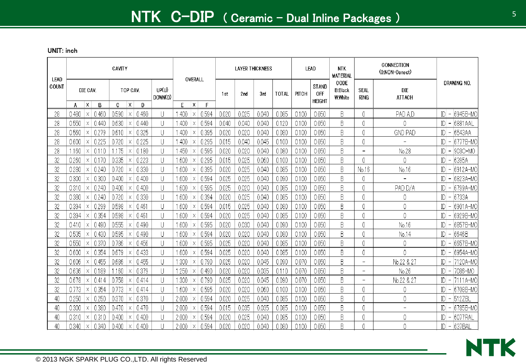| <b>LEAD</b> |                |                                 | CAVITY         |                            |                  |              | OVERALL                      |                | <b>LAYER THICKNESS</b> |                |                |                | LEAD                                        | <b>NTK</b><br><b>MATERIAL</b>     |                            | CONNECTION<br>(0:NON-Conect)               |                                                      |
|-------------|----------------|---------------------------------|----------------|----------------------------|------------------|--------------|------------------------------|----------------|------------------------|----------------|----------------|----------------|---------------------------------------------|-----------------------------------|----------------------------|--------------------------------------------|------------------------------------------------------|
| COUNT       |                | DIE CAV.                        |                | TOP CAV.                   | UP(U)<br>DOWN(D) |              |                              | 1st            | 2rd                    | 3rd            | <b>TOTAL</b>   | PITCH          | <b>STAND</b><br><b>OFF</b><br><b>HEIGHT</b> | CODE<br><b>B:Black</b><br>W:White | <b>SEAL</b><br><b>RING</b> | <b>DIE</b><br><b>ATTACH</b>                | DRAWING NO.                                          |
|             | A              | $\mathsf{X}$<br>B               | C              | $\mathsf{X}$<br>D          |                  | F            | $\mathsf{X}$<br>$\mathsf{F}$ |                |                        |                |                |                |                                             |                                   |                            |                                            |                                                      |
| 28          | 0.480          | 0.460<br>$\times$               | 0.590          | 0.460<br>$\times$          | U                | .400         | 0.594<br>Χ                   | 0.020          | 0.025                  | 0.040          | 0.085          | 0.100          | 0.050                                       | B<br>B                            | 0                          | PAD A,D                                    | 6945B-MC<br>ID                                       |
| 28          | 0.550          | 0.440<br>X<br>0.279<br>$\times$ | 0.630<br>0.610 | 0.440<br>$\times$<br>0.325 | U                | .400         | 0.594<br>Χ<br>0.395          | 0.040<br>0.020 | 0.040<br>0.020         | 0.040<br>0.040 | 0.120<br>0.080 | 0.100<br>0.100 | 0.050<br>0.050                              | B                                 | 0<br>0                     | 0                                          | 6881 AAL<br>ID<br>$\overline{\phantom{a}}$<br>6543AA |
| 28<br>28    | 0.560<br>0.600 | 0.225<br>Χ                      | 0.720          | X<br>0.225<br>Х            | U<br>U           | .400<br>.400 | Χ<br>0.295<br>Χ              | 0.015          | 0.040                  | 0.045          | 0.100          | 0.100          | 0.050                                       | B                                 | 0                          | <b>GND PAD</b><br>$\overline{\phantom{0}}$ | ID<br>6777B-MO<br>ID                                 |
| 28          | 1.160          | 0.110<br>$\times$               | .175           | 0.180<br>$\times$          | U                | 450          | 0.595<br>X                   | 0.020          | 0.020                  | 0.040          | 0.080          | 0.100          | 0.050                                       | B                                 | $\overline{\phantom{a}}$   | No.28                                      | ID<br>903C-MO                                        |
| 32          | 0.260          | 0.170<br>X                      | 0.335          | 0.223<br>X                 | U                | .600         | 0.295<br>Χ                   | 0.015          | 0.025                  | 0.060          | 0.100          | 0.100          | 0.050                                       | B                                 | 0                          | 0                                          | ID<br>6395A                                          |
| 32          | 0.280          | 0.240                           | 0.720          | 0.330                      | U                | .600         | 0.395<br>Χ                   | 0.020          | 0.025                  | 0.040          | 0.085          | 0.100          | 0.050                                       | B                                 | No.16                      | No.16                                      | ID<br>6912A-MO<br>$\overline{\phantom{m}}$           |
| 32          | 0.300          | 0.300<br>$\times$               | 0.400          | 0.400<br>Χ                 | U                | .600         | 0.594<br>Χ                   | 0.025          | 0.025                  | 0.040          | 0.090          | 0.100          | 0.050                                       | B                                 | 0                          | $\overline{\phantom{0}}$                   | 6823A-MO<br>ID                                       |
| 32          | 0.310          | 0.240<br>X                      | 0.400          | 0.400<br>Χ                 | U                | .600         | 0.595<br>Χ                   | 0.025          | 0.020                  | 0.040          | 0.085          | 0.100          | 0.050                                       | B                                 | 0                          | PAD D/A                                    | ID<br>6799A-MO<br>$\overline{\phantom{m}}$           |
| 32          | 0.380          | 0.240<br>X                      | 0.720          | 0.330<br>$\times$          | U                | .600         | 0.394<br>X                   | 0.020          | 0.025                  | 0.040          | 0.085          | 0.100          | 0.050                                       | B                                 | 0                          | 0                                          | 6733A<br>ID                                          |
| 32          | 0.394          | 0.299<br>Χ                      | 0.598          | 0.461<br>Х                 | U                | .600         | 0.594<br>Χ                   | 0.015          | 0.025                  | 0.040          | 0.080          | 0.100          | 0.050                                       | B                                 | 0                          | 0                                          | ID<br>6901A-MO                                       |
| 32          | 0.394          | 0.354<br>X                      | 0.598          | 0.461                      | U                | .600         | 0.594<br>Χ                   | 0.020          | 0.025                  | 0.040          | 0.085          | 0.100          | 0.050                                       | B                                 |                            | 0                                          | 6929B-MO<br>ID                                       |
| 32          | 0.410          | 0.490<br>$\times$               | 0.555          | 0.490<br>Х                 | U                | .600         | 0.595<br>$\times$            | 0.020          | 0.030                  | 0.040          | 0.090          | 0.100          | 0.050                                       | B                                 | 0                          | No.16                                      | 6857B-MO<br>ID<br>$\overline{\phantom{m}}$           |
| 32          | 0.535          | 0.430<br>X                      | 0.595          | 0.490<br>$\times$          | U                | .600         | 0.594<br>$\times$            | 0.020          | 0.020                  | 0.040          | 0.080          | 0.100          | 0.050                                       | B                                 | 0                          | No.14                                      | 6646B<br>ID<br>$\overline{\phantom{m}}$              |
| 32          | 0.550          | 0.370<br>X                      | 0.786          | 0.456<br>Χ                 | U                | .600         | 0.595<br>Χ                   | 0.025          | 0.020                  | 0.040          | 0.085          | 0.100          | 0.050                                       | B                                 | 0                          | 0                                          | 6657B-MO<br>ID                                       |
| 32          | 0.600          | 0.354<br>X                      | 0.679          | 0.433<br>X                 | U                | .600         | 0.594<br>Χ                   | 0.025          | 0.020                  | 0.040          | 0.085          | 0.100          | 0.050                                       | B                                 | 0                          | 0                                          | ID<br>6954A-MO                                       |
| 32          | 0.606          | 0.455<br>X                      | 0.686          | 0.455<br>Χ                 | U                | .300         | 0.790<br>Χ                   | 0.025          | 0.020                  | 0.045          | 0.090          | 0.070          | 0.050                                       | B                                 | $\overline{\phantom{0}}$   | No.22 & 27                                 | ID<br>7120A-MO<br>$\overline{\phantom{0}}$           |
| 32          | 0.636          | 0.189                           | .160           | 0.379<br>Х                 | U                | .250         | 0.490<br>Χ                   | 0.020          | 0.020                  | 0.035          | 0.110          | 0.070          | 0.050                                       | B                                 | $\overline{\phantom{a}}$   | No.26                                      | $ D  -  7086 - MO $                                  |
| 32          | 0.678          | 0.414<br>$\times$               | 0.758          | 0.414<br>$\times$          | U                | .300         | 0.790<br>X                   | 0.025          | 0.020                  | 0.045          | 0.090          | 0.070          | 0.050                                       | B                                 | $\overline{\phantom{0}}$   | No.22 & 27                                 | ID<br>$-17111A-MO$                                   |
| 32          | 0.773          | 0.354<br>Χ                      | 0.773          | 0.414<br>X                 | U                | .600         | 0.595<br>Χ                   | 0.020          | 0.020                  | 0.060          | 0.100          | 0.100          | 0.050                                       | B                                 | 0                          | 0                                          | D <br>6708B-MO<br>$\overline{\phantom{m}}$           |
| 40          | 0.250          | 0.250<br>X                      | 0.370          | 0.370<br>Χ                 | U                | 2.000        | 0.594<br>X                   | 0.020          | 0.025                  | 0.040          | 0.085          | 0.100          | 0.050                                       | B                                 | 0                          | 0                                          | 512ZBL<br>ID                                         |
| 40          | 0.300          | 0.380<br>Χ                      | 0.470          | 0.470<br>Х                 | U                | 2.000        | 0.594<br>Χ                   | 0.015          | 0.035                  | 0.035          | 0.085          | 0.100          | 0.050                                       | B                                 | 0                          | $\overline{\phantom{a}}$                   | ID<br>6785B-MO                                       |
| 40          | 0.310          | 0.310<br>$\times$               | 0.400          | 0.400                      | U                | 2.000        | 0.594<br>Χ                   | 0.020          | 0.025                  | 0.040          | 0.085          | 0.100          | 0.050                                       | B                                 |                            | 0                                          | D <br>6077RAL<br>$\overline{\phantom{a}}$            |
| 40          | 0.340          | 0.340<br>$\times$               | 0.400          | 0.400<br>X                 | $\mathbf{1}$     | 2.000        | 0.594<br>$\times$            | 0.020          | 0.020                  | 0.040          | 0.080          | 0.100          | 0.050                                       | B.                                |                            | Λ                                          | IDI - 1637BAI                                        |

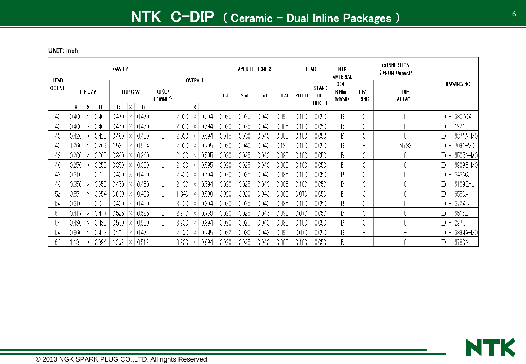| <b>LEAD</b> |       | CAVITY   |       |       |          |       |                  |       | OVERALL |       |       | <b>LAYER THICKNESS</b> |       |              |       | LEAD                                 | <b>NTK</b><br><b>MATERIAL</b>     |                          | CONNECTION<br>(0:NON-Conect) |                                            |
|-------------|-------|----------|-------|-------|----------|-------|------------------|-------|---------|-------|-------|------------------------|-------|--------------|-------|--------------------------------------|-----------------------------------|--------------------------|------------------------------|--------------------------------------------|
| COUNT       |       | DIE CAV. |       |       | TOP CAV. |       | UP(U)<br>DOWN(D) |       |         |       | 1st   | 2 <sub>nd</sub>        | 3rd   | <b>TOTAL</b> | PITCH | <b>STAND</b><br>0FF<br><b>HEIGHT</b> | CODE<br><b>B:Black</b><br>W:White | SEAL<br>ring             | DIE<br><b>ATTACH</b>         | DRAWING NO.                                |
|             | A     | Χ        | В     | C     | Χ        | Ð     |                  | E     | X       |       |       |                        |       |              |       |                                      |                                   |                          |                              |                                            |
| 40          | 0.400 | Χ        | 0.400 | 0.470 | Х        | 0.470 | U                | 2.000 | Х       | 0.594 | 0.025 | 0.025                  | 0.040 | 0.090        | 0.100 | 0.050                                | B                                 |                          | 0                            | 6807CAL<br>D<br>$-$                        |
| 40          | 0.400 | X        | 0.400 | 0.470 |          | 0.470 | U                | 2.000 |         | 0.594 | 0.020 | 0.025                  | 0.040 | 0.085        | 0.100 | 0.050                                | B                                 |                          | 0                            | D<br>- 192YBL                              |
| 40          | 0.420 |          | 0.420 | 0.480 |          | 0.480 | U                | 2.000 |         | 0.594 | 0.015 | 0.030                  | 0.040 | 0.085        | 0.100 | 0.050                                | B                                 | 0                        | 0                            | - 6871 A-MO<br>ID.                         |
| 40          | .266  |          | 0.269 | .586  |          | 0.504 | U                | 2.000 |         | 0.795 | 0.020 | 0.040                  | 0.040 | 0.130        | 0.100 | 0.050                                | B                                 | $\overline{\phantom{a}}$ | No.33                        | D <br> 7091-MO<br>$\overline{\phantom{a}}$ |
| 48          | 0.200 | Х        | 0.200 | 0.340 | X        | 0.340 | U                | 2.400 | Х       | 0.595 | 0.020 | 0.025                  | 0.040 | 0.085        | 0.100 | 0.050                                | B                                 |                          | 0                            | - 6505A-MO<br> D                           |
| 48          | 0.250 | Χ        | 0.250 | 0.350 |          | 0.350 | U                | 2.400 | Χ       | 0.595 | 0.020 | 0.025                  | 0.040 | 0.085        | 0.100 | 0.050                                | B                                 | 0                        | 0                            | $-$ 6909B-MO<br>IDI                        |
| 48          | 0.310 | X.       | 0.310 | 0.400 | Χ        | 0.400 | U                | 2.400 | Χ       | 0.594 | 0.020 | 0.025                  | 0.040 | 0.085        | 0.100 | 0.050                                | B                                 | 0                        | 0                            | – 1343QAL<br> D                            |
| 48          | 0.350 | X.       | 0.350 | 0.450 | ΙX.      | 0.450 | U                | 2.400 | Х       | 0.594 | 0.020 | 0.025                  | 0.040 | 0.085        | 0.100 | 0.050                                | B                                 |                          | 0                            | $ D  - 6109BAL$                            |
| 52          | 0.551 | X.       | 0.354 | 0.630 | X        | 0.433 | U                | .840  | Х       | 0.590 | 0.020 | 0.020                  | 0.040 | 0.080        | 0.070 | 0.050                                | B                                 | 0                        | 0                            | $ D  - 6550A$                              |
| 64          | 0.310 | Χ        | 0.310 | 0.400 | Х        | 0.400 | U                | 3.200 | Χ       | 0.894 | 0.020 | 0.025                  | 0.040 | 0.085        | 0.100 | 0.050                                | B                                 |                          | 0                            | $ D  -  372AB$                             |
| 64          | 0.417 | Χ        | 0.41  | 0.525 |          | 0.525 | U                | 2.240 | Х       | 0.738 | 0.020 | 0.025                  | 0.045 | 0.090        | 0.070 | 0.050                                | B                                 | 0                        | 0                            | $ D  - 6515Z$                              |
| 64          | 0.480 | Х        | 0.480 | 0.550 |          | 0.550 | U                | 3.200 | Χ       | 0.894 | 0.020 | 0.025                  | 0.040 | 0.085        | 0.100 | 0.050                                | B                                 |                          | 0                            | – 297J<br> D                               |
| 64          | 0.866 | X.       | 0.413 | 0.929 |          | 0.476 | U                | 2.260 | Χ       | 0.745 | 0.022 | 0.030                  | 0.043 | 0.095        | 0.070 | 0.050                                | B                                 | $\overline{\phantom{a}}$ | -                            | - 6894A-MO<br>IDI                          |
| 64          | 181   |          | 0.394 | .299  |          | 0.512 | U                | 3.200 |         | 0.894 | 0.020 | 0.025                  | 0.040 | 0.085        | 0.100 | 0.050                                | B                                 | $\overline{\phantom{a}}$ | 0                            | D <br>$- 6780A$                            |

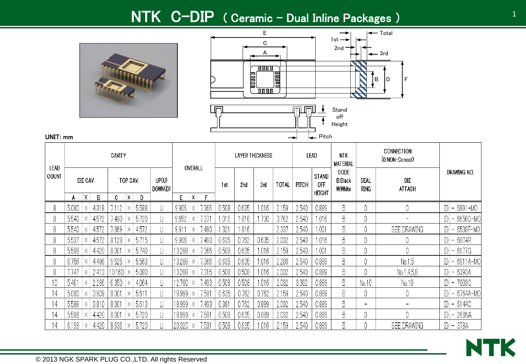## NTK C-DIP ( Ceramic – Dual Inline Packages )





| LEAD  |       |          |       | CAVITY |          |       |                  |        | OVERALL |       |       | LAYER THICKNESS |       |              |       | LEAD                                        | NTK<br><b>MATERIAL</b>            |              | CONNECTION<br>(0:NON-Conect) |                                |               |
|-------|-------|----------|-------|--------|----------|-------|------------------|--------|---------|-------|-------|-----------------|-------|--------------|-------|---------------------------------------------|-----------------------------------|--------------|------------------------------|--------------------------------|---------------|
| COUNT |       | DIE CAV. |       |        | TOP CAV. |       | UP(U)<br>DOWN(D) |        |         |       | 1st   | 2nc             | 3rd   | <b>TOTAL</b> | PITCH | <b>STAND</b><br><b>OFF</b><br><b>HEIGHT</b> | CODE<br><b>B:Black</b><br>W:White | SEAL<br>ring | DIE<br><b>ATTACH</b>         | DRAWING NO.                    |               |
|       | A     | X        | B     | C      | Χ        | Ð     |                  | F.     | Χ       |       |       |                 |       |              |       |                                             |                                   |              |                              |                                |               |
| 8     | 5.080 |          | 4.318 | .112   |          | 5.588 |                  | 9.906  | Χ       | 7.366 | 0.508 | 0.635           | .016  | 2.159        | 2.540 | 0.889                                       | B                                 |              |                              | D                              | $- 6891 - MO$ |
|       | 5.540 |          | 4.572 | 1.490  |          | 5.720 |                  | 9.652  | Х       | 7.371 | .016  | 1.016           | .730  | 3.762        | 2.540 | .016                                        | B                                 |              |                              | D                              | $-$ 6656C-MO  |
|       | 5.540 |          | 4.572 | '.869  |          | 4.572 |                  | 9.911  | Χ       | .490  | .321  | .016            |       | 2.337        | 2.540 | .001                                        | B                                 |              | <b>SEE DRAWING</b>           | D                              | –  6538F-MO   |
|       | 5.537 |          | 4.572 | 8.128  |          | 5.715 |                  | 9.906  | Χ       | .493  | 0.635 | 0.762           | 0.635 | 2.032        | 2.540 | .016                                        | B                                 |              |                              | D <br>$\overline{\phantom{a}}$ | 6074R         |
| 8     | 5.588 |          | 4.420 | 8.001  |          | 5.740 |                  | 13.208 |         | 7.366 | 0.508 | 0.635           | .016  | 2.159        | 2.540 | .001                                        | B                                 |              |                              | $ D  - 6177G$                  |               |
|       | 6.756 |          | 4.496 | 9.525  |          | 5.563 |                  | 13.208 |         | 7.366 | 0.635 | 0.635           | .016  | 2.286        | 2.540 | 0.889                                       | B                                 |              | No.1,5                       | D                              | $-$ 6911A-MO  |
|       | .747  | Χ        | 2.413 | 10.160 |          | 5.080 |                  | 13.208 | Х       | 7.315 | 0.508 | 0.508           | .016  | 2.032        | 2.540 | 0.889                                       | B                                 |              | No.1,4,5,8                   | D <br>  –  6393A               |               |
| 10    | 5.461 |          | 2.286 | 6.350  |          | 4.064 |                  | 12.700 | 'X.     | '.493 | 0.508 | 0.508           | .016  | 2.032        | 3.302 | 0.889                                       | B                                 | No.10        | No.10                        | $ D $ –                        | 7003C         |
| 14    | 5.080 | Χ        | 3.909 | 8.001  | Х        | 5.611 |                  | 18.999 | Х       | 7.501 | 0.635 | 0.762           | 0.762 | 2.159        | 2.540 | 0.889                                       | B                                 |              | 0                            | D                              | - 6764A-MOI   |
| 14    | 5.588 | Χ        | 3.810 | 8.001  |          | 5.613 |                  | 18.999 | Х       | 1.493 | 0.381 | 0.762           | 0.889 | 2.032        | 2.540 | 0.889                                       | B                                 | -            |                              | $ D  - 6144C$                  |               |
| 14    | 5.588 |          | 4.420 | 8.001  |          | 5.720 |                  | 18.999 |         | 7.501 | 0.508 | 0.635           | 0.889 | 2.032        | 2.540 | 0.889                                       | B                                 |              |                              | –  268NA<br> D                 |               |
|       | 6.198 |          | 4.420 | 8.636  |          | 5.720 |                  | 20.320 |         | 7.531 | 0.508 | 0.635           | .016  | 2.159        | 2.540 | 0.889                                       | B                                 |              | SEE DRAWING                  | $ D  -  378A $                 |               |

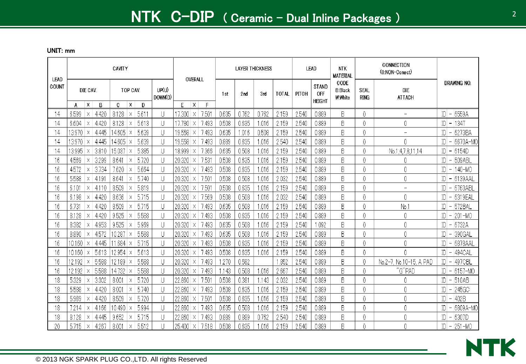| LEAD  |        |               |       | CAVITY |                          |       |                  |        | OVERALL           |       |       | <b>LAYER THICKNESS</b> |       |       | <b>LEAD</b>                          | <b>NTK</b><br><b>MATERIAL</b> |                     | CONNECTION<br>(0:NON-Conect) |              |                          |                  |
|-------|--------|---------------|-------|--------|--------------------------|-------|------------------|--------|-------------------|-------|-------|------------------------|-------|-------|--------------------------------------|-------------------------------|---------------------|------------------------------|--------------|--------------------------|------------------|
| COUNT | А      | DIE CAV.<br>Χ | B     | C.     | TOP CAV.<br>$\mathsf{X}$ | D     | UP(U)<br>DOWN(D) | F      | ΙX.<br>F          | 1st   | 2nd   | 3rd                    | TOTAL | PITCH | <b>STAND</b><br>0FF<br><b>HEIGHT</b> | CODE<br>B:Black<br>W:White    | SEAL<br><b>RING</b> | DIE<br><b>ATTACH</b>         |              |                          | DRAWING NO.      |
| 14    | 6.599  | Χ             | 4.420 | 8.128  | Χ                        | 5.611 | U                | 17.300 | 7.501<br>Χ        | 0.635 | 0.762 | 0.762                  | 2.159 | 2.540 | 0.889                                | B                             | 0                   | -                            | ID           |                          | 6559A            |
| 14    | 6.604  | Χ             | 4.420 | 8.128  | Х                        | 5.613 | U                | 17.780 | 7.493<br>Χ        | 0.508 | 0.635 | 1.016                  | 2.159 | 2.540 | 0.889                                | B                             | 0                   | 0                            | ID           | $\overline{\phantom{m}}$ | 134T             |
| 14    | 13.970 | $\times$      | 4.445 | 14.605 | X                        | 5.639 | U                | 19.558 | 7.493<br>X        | 0.635 | .016  | 0.508                  | 2.159 | 2.540 | 0.889                                | B                             | 0                   | $\qquad \qquad -$            | ID           | $\overline{\phantom{a}}$ | 6273BA           |
| 14    | 13.970 | Х             | 4.445 | 14.605 | $\times$                 | 5.639 | U                | 19.558 | 7.493<br>Χ        | 0.889 | 0.635 | 1.016                  | 2.540 | 2.540 | 0.889                                | B                             | 0                   | 0                            | $\mathbb{D}$ | $\overline{\phantom{a}}$ | 6670A-MO         |
| 14    | 13.995 |               | 3.810 | 15.037 | X                        | 5.385 | U                | 18.999 | 7.366             | 0.635 | 0.508 | 1.016                  | 2.159 | 2.540 | 0.889                                | B                             | 0                   | No.1,4,7,8,11,14             | ID           |                          | 6154D            |
| 16    | 4.569  | Х             | 3.299 | 8.641  | Х                        | 5.720 | U                | 20.320 | 7.531<br>Х        | 0.508 | 0.635 | 1.016                  | 2.159 | 2.540 | 0.889                                | B                             | 0                   | 0                            | ID           |                          | 509 ABL          |
| 16    | 4.572  |               | 3.734 | 7.620  | X                        | 5.664 | U                | 20.320 | 7.493<br>Χ        | 0.508 | 0.635 | 1.016                  | 2.159 | 2.540 | 0.889                                | B                             | 0                   | 0                            | ID           | $\overline{\phantom{a}}$ | 140-MO           |
| 16    | 5.588  | Χ             | 4.19  | 8.641  | X                        | 5.740 | U                | 20.320 | 7.501<br>Χ        | 0.508 | 0.508 | 1.016                  | 2.032 | 2.540 | 0.889                                | B                             | 0                   | 0                            |              | $\overline{\phantom{0}}$ | 6139AAL          |
| 16    | 6.101  | Χ             | 4.110 | 8.509  |                          | 5.819 | U                | 20.320 | 7.501<br>ΙX       | 0.508 | 0.635 | 1.016                  | 2.159 | 2.540 | 0.889                                | B                             | 0                   | $\qquad \qquad -$            | D            | $\overline{\phantom{a}}$ | 6763ABI          |
| 16    | 6.198  | Х             | 4.420 | 8.636  | X                        | 5.715 | U                | 20.320 | 7.569<br>$\times$ | 0.508 | 0.508 | 1.016                  | 2.032 | 2.540 | 0.889                                | B                             | 0                   | 0                            | ID           | $\overline{\phantom{a}}$ | 6319EAL          |
| 16    | 6.731  | $\times$      | 4.420 | 8.509  | Χ                        | 5.715 | U                | 20.320 | 7.493<br>ΙX       | 0.635 | 0.508 | 1.016                  | 2.159 | 2.540 | 0.889                                | B                             | 0                   | No.                          | IDI          | $\overline{\phantom{a}}$ | 572BAL           |
| 16    | 8.128  | X             | 4.420 | 9.525  | X                        | 5.588 | U                | 20.320 | 7.493<br>$\times$ | 0.508 | 0.635 | 1.016                  | 2.159 | 2.540 | 0.889                                | B                             | 0                   | 0                            | IDI          | $\overline{\phantom{m}}$ | 201-MO           |
| 16    | 8.382  |               | 4.953 | 9.525  | X                        | 5.969 | U                | 20.320 | 7.493<br>Χ        | 0.635 | 0.508 | 1.016                  | 2.159 | 2.540 | 1.092                                | B                             | 0                   | 0                            | ID           |                          | 6732A            |
| 16    | 8.890  | $\times$      | 4.572 | 10.287 | X                        | 5.588 | U                | 20.320 | 7.493<br>X        | 0.635 | 0.508 | 1.016                  | 2.159 | 2.540 | 0.889                                | B                             | 0                   | 0                            | ID           |                          | 390GAL           |
| 16    | 10.160 | X             | 4.445 | 11.684 | Х                        | 5.715 | U                | 20.320 | 7.493<br>$\times$ | 0.508 | 0.635 | 1.016                  | 2.159 | 2.540 | 0.889                                | B                             | 0                   | 0                            | ID           |                          | 6878AAL          |
| 16    | 10.160 | $\times$      | 5.613 | 12.954 | X                        | 5.613 | U                | 20.320 | 7.493<br>X        | 0.508 | 0.635 | 1.016                  | 2.159 | 2.540 | 0.889                                | B                             | 0                   | 0                            | ID           |                          | 494CAL           |
| 16    | 12.192 |               | 5.588 | 12.189 | Χ                        | 5.588 | U                | 20.320 | 7.493<br>Χ        | 1.270 | 0.582 |                        | 1.852 | 2.540 | 0.889                                | B                             | 0                   | No.10-15, A PAD<br>$No.2-7$  | ID           | $\overline{\phantom{a}}$ | 497CBL           |
| 16    | 12.192 |               | 5.588 | 14.732 | X                        | 5.588 | U                | 20.320 | 7.493<br>Χ        | 1.143 | 0.508 | 1.016                  | 2.667 | 2.540 | 0.889                                | B                             | 0                   | "G"PAD                       | ID           | $\overline{\phantom{m}}$ | 6157-MO          |
| 18    | 5.329  | Χ             | 3.302 | 8.001  | $\times$                 | 5.720 | U                | 22.860 | 7.501<br>Χ        | 0.508 | 0.381 | .143                   | 2.032 | 2.540 | 0.889                                | B                             | 0                   | 0                            | ID           | $\overline{\phantom{a}}$ | 510AB            |
| 18    | 5.588  |               | 4.420 | 8.001  | X                        | 5.740 | U                | 22.860 | 7.493             | 0.508 | 0.635 | 1.016                  | 2.159 | 2.540 | 0.889                                | B                             | 0                   | 0                            | ID           |                          | 245GC            |
| 18    | 5.969  | Χ             | 4.420 | 8.509  | Х                        | 5.720 | U                | 22.860 | 7.501<br>Х        | 0.508 | 0.635 | .016                   | 2.159 | 2.540 | 0.889                                | B                             | 0                   | 0                            | ID           | $\overline{\phantom{0}}$ | 402B             |
| 18    | 7.214  | X             | 4.166 | 10.490 | X                        | 5.994 | U                | 22.860 | 7.493<br>Χ        | 0.635 | 0.508 | 1.016                  | 2.159 | 2.540 | 0.889                                | B                             | 0                   | 0                            | $\mathbb{D}$ | $\overline{\phantom{a}}$ | 6809A-MO         |
| 18    | 8.128  | Χ             | 4.445 | 9.652  | X                        | 5.715 | U                | 22.860 | 7.493<br>Χ        | 0.889 | 0.889 | 0.762                  | 2.540 | 2.540 | 0.889                                | B                             | 0                   | 0                            | ID           | $\overline{\phantom{m}}$ | 6307D            |
| 20    | 5.715  | Χ             | 4.267 | 8.001  | Χ                        | 5.512 |                  | 25.400 | 7.518<br>ΙX       | 0.508 | 0.635 | 1.016                  | 2.159 | 2.540 | 0.889                                | B                             |                     | 0                            |              |                          | $ D  - 251 - MO$ |

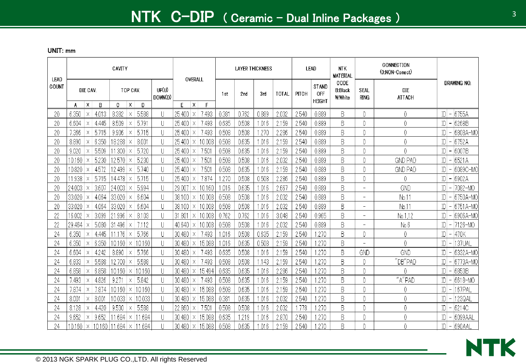| LEAD     |                        |              |                | CAVITY     |          |                        |                  | OVERALL                          |            |       | <b>LAYER THICKNESS</b> |                 |       |       | LEAD                                 | <b>NTK</b><br><b>MATERIAL</b>     |                          | CONNECTION<br>(0:NON-Conect) |                                                                     |
|----------|------------------------|--------------|----------------|------------|----------|------------------------|------------------|----------------------------------|------------|-------|------------------------|-----------------|-------|-------|--------------------------------------|-----------------------------------|--------------------------|------------------------------|---------------------------------------------------------------------|
| COUNT    |                        | DIE CAV.     |                |            | TOP CAV. |                        | UP(U)<br>DOWN(D) |                                  |            | 1st   | 2nd                    | 3 <sub>rd</sub> | TOTAL | PITCH | <b>STAND</b><br>0FF<br><b>HEIGHT</b> | CODE<br><b>B:Black</b><br>W:White | SEAL<br><b>RING</b>      | <b>DIE</b><br><b>ATTACH</b>  | DRAWING NO.                                                         |
|          | A<br>6.350             | X<br>X       | B              | C<br>8.382 | X<br>X   | D<br>5.588             | U                | E<br>$\mathsf{x}$<br>25.400<br>X | F<br>7.493 | 0.381 | 0.762                  | 0.889           | 2.032 | 2.540 | 0.889                                | B                                 | 0                        | 0                            | 6755A<br>$\mathbb{D}$                                               |
| 20<br>20 | 6.604                  | Χ            | 4.013<br>4.445 | 8.509      | X        | 5.791                  | U                | 25.400<br>Χ                      | 7.493      | 0.635 | 0.508                  | 1.016           | 2.159 | 2.540 | 0.889                                | B                                 | 0                        | 0                            | $\overline{\phantom{a}}$<br>6268B<br>ID<br>$\overline{\phantom{a}}$ |
| 20       | 7.366                  | $\times$     | 5.715          | 9.906      |          | 5.715                  | U                | 25.400                           | 7.493      | 0.508 | 0.508                  | 1.270           | 2.286 | 2.540 | 0.889                                | B                                 | 0                        | 0                            | 6808A-MO<br>ID                                                      |
| 20       | 8.890                  | Χ            | 6.350          | 18.288     | Χ        | 8.001                  | U                | 25.400<br>Χ                      | 10.008     | 0.508 | 0.635                  | 1.016           | 2.159 | 2.540 | 0.889                                | B                                 | 0                        | 0                            | ID<br>6752A                                                         |
| 20       | 9.020                  |              | 5.509          | .300       |          | 5.720                  | U                | 25.400                           | 7.501      | 0.508 | 0.635                  | 1.016           | 2.159 | 2.540 | 0.889                                | B                                 | 0                        | 0                            | 6007B<br>ID<br>$\overline{\phantom{m}}$                             |
| 20       | 10.160                 | $\times$     | 5,230          | 12.570     |          | 5.230                  | U                | 25.400<br>Χ                      | 7.501      | 0.508 | 0.508                  | 1.016           | 2.032 | 2.540 | 0.889                                | B                                 | 0                        | <b>GND PAD</b>               | 6521A<br>ID<br>$\overline{\phantom{a}}$                             |
| 20       | 10.820                 |              | 4.572          | 12.499     |          | 5.740                  | U                | 25.400<br>$\times$               | 7.501      | 0.508 | 0.635                  | 1.016           | 2.159 | 2.540 | 0.889                                | B                                 | 0                        | <b>GND PAD</b>               | ID<br>6089C-MC<br>$\overline{\phantom{m}}$                          |
| 20       | .938                   | X            | 5.715          | 14.478     | X        | 5.715                  | U                | 25.400<br>X                      | 7.874      | .270  | 0.508                  | 0.508           | 2.286 | 2.540 | 0.889                                | B                                 | 0                        | 0                            | ID<br>6902A                                                         |
| 20       | 24.003                 |              | 3.607          | 24.003     |          | 5.994                  | U                | 29.007<br>$\times$               | 10.160     | 1.016 | 0.635                  | 1.016           | 2.667 | 2.540 | 0.889                                | B                                 | $\overline{\phantom{a}}$ | GND                          | $\mathbb{D}$<br>7082-MO<br>$\overline{\phantom{a}}$                 |
| 20       | 33.020                 | $\times$     | 4.064          | 33.020     |          | 6.604                  | U                | 38.100<br>Χ                      | 10.008     | 0.508 | 0.508                  | 1.016           | 2.032 | 2.540 | 0.889                                | B                                 | $\overline{\phantom{0}}$ | No.11                        | 6750A-MO<br>ID                                                      |
| 20       | 33.020                 | $\times$     | 4.064          | 33.020     |          | 6.604                  | U                | 38.100<br>Χ                      | 10.008     | 0.508 | 0.508                  | 1.016           | 2.032 | 2.540 | 0.889                                | B                                 | $\overline{\phantom{0}}$ | No.11                        | ID<br>6751A-MO<br>$\overline{\phantom{a}}$                          |
| 22       | 16.002                 | $\mathsf{X}$ | 3.099          | .996       |          | 8.103                  | U                | 31.801<br>$\mathsf{X}$           | 10.008     | 0.762 | 0.762                  | 1.016           | 3.048 | 2.540 | 0.965                                | B                                 | $\overline{\phantom{m}}$ | No.1.12                      | $\mathbb{D}$<br>6906A-MO<br>$\overline{\phantom{m}}$                |
|          | 29.464                 | $\times$     | 5.080          | .496<br>31 | Χ        | 7.112                  | U                | 40.640<br>Χ                      | 10.008     | 0.508 | 0.508                  | 1.016           | 2.032 | 2.540 | 0.889                                | B                                 | $-$                      | No.6                         | $-17126 - MO$<br>$\mathbb{D}$                                       |
| 24       | 6.350                  | $\times$     | 4.445          | .176       |          | 5.766                  | U                | 30.480<br>X                      | 7.493      | 1.016 | 0.508                  | 0.635           | 2.159 | 2.540 | 1.270                                | B                                 | 0                        | 0                            | 470K<br>ID<br>$\overline{\phantom{m}}$                              |
| 24       | 6.350                  | Χ            | 6.350          | 10.160     | Х        | 10.160                 | U                | 30.480<br>Χ                      | 15.088     | 1.016 | 0.635                  | 0.508           | 2.159 | 2.540 | .270                                 | B                                 | $-$                      | 0                            | 137UAL<br>ID                                                        |
| 24       | 6.604                  | X            | 4.242          | 8.890      |          | 5.766                  | U                | 30.480                           | 7.493      | 0.635 | 0.508                  | 1.016           | 2.159 | 2.540 | .270                                 | B                                 | GND                      | GND                          | 6332A-MO<br>ID<br>$\overline{\phantom{m}}$                          |
| 24       | 6.833                  | X            | 5.588          | 12.700     |          | 5.588                  | U                | 30.480<br>X                      | 7.493      | 0.508 | 0.508                  | 1.143           | 2.159 | 2.540 | .270                                 | B                                 |                          | "DB"PAD                      | 6773A-MO                                                            |
| 24       | 6.858                  |              | 6.858          | 10.160     | $\times$ | 10.160                 | U                | 30.480<br>$\times$               | 15.494     | 0.635 | 0.635                  | 1.016           | 2.286 | 2.540 | .270                                 | B                                 | 0                        | 0                            | ID<br>6853B<br>$\overline{\phantom{a}}$                             |
| 24       | 7.493                  | $\times$     | 4.826          | 9.271      | X        | 5.842                  | U                | 30.480<br>X                      | 7.493      | 0.508 | 0.635                  | 1.016           | 2.159 | 2.540 | .270                                 | B                                 | $\theta$                 | ''A''PAD                     | 6618-MO<br>ID                                                       |
| 24       | 7.874                  | X            | 7.874          | 10.160     | Χ        | 10.160                 | U                | 30.480<br>Χ                      | 15.088     | 0.508 | 0.635                  | 1.016           | 2.159 | 2.540 | .270                                 | B                                 | 0                        | 0                            | 167PAL<br>ID<br>$\overline{\phantom{m}}$                            |
| 24       | 8.001                  | Χ            | $8.00^{\circ}$ | 10.033     | X        | 10.033                 | U                | 30.480<br>Χ                      | 15.088     | 0.381 | 0.635                  | 1.016           | 2.032 | 2.540 | .270                                 | B                                 | 0                        | 0                            | ID<br>123QAL                                                        |
| 24       | 8.128                  | Χ            | 4.420          | 9.530      |          | 5.588                  | U                | 22.860<br>Χ                      | 7.501      | 0.508 | 0.508                  | 1.016           | 2.032 | .778  | .270                                 | B                                 | 0                        | 0                            | 6214C<br>ID<br>$\overline{\phantom{m}}$                             |
| 24       | 9.652                  | $\times$     | 9.652          | .684       | X        | 11.684                 | U                | 30.480<br>X                      | 15.088     | 0.635 | -219                   | 1.016           | 2.870 | 2.540 | .270                                 | B                                 | 0                        | 0                            | 6099AAL<br>ID                                                       |
| 24       | $10.160 \times 10.160$ |              |                |            |          | $11.684 \times 11.684$ | $\mathbf{H}$     | $30.480 \times$                  | 15.088     | 0.508 | 0.635                  | 1 016.          | 2.159 | 2.540 | -270                                 | B.                                |                          | Λ                            | IDI - 1690AAI                                                       |

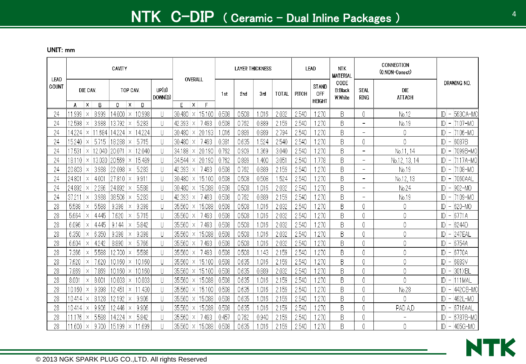| LEAD  |               |               |            | CAVITY          |               |             |                  | OVERALL                            |        |       | <b>LAYER THICKNESS</b> |       |              |       | LEAD                                        | <b>NTK</b><br><b>MATERIAL</b>      |                            | CONNECTION<br>(0:NON-Conect) |                                          |
|-------|---------------|---------------|------------|-----------------|---------------|-------------|------------------|------------------------------------|--------|-------|------------------------|-------|--------------|-------|---------------------------------------------|------------------------------------|----------------------------|------------------------------|------------------------------------------|
| COUNT |               | DIE CAV.      |            |                 | TOP CAV.<br>X |             | UP(U)<br>DOWN(D) | E                                  | F      | 1st   | 2nd                    | 3rd   | <b>TOTAL</b> | PITCH | <b>STAND</b><br><b>OFF</b><br><b>HEIGHT</b> | CODE<br><b>B:Black</b><br>W: White | <b>SEAL</b><br><b>RING</b> | <b>DIE</b><br><b>ATTACH</b>  | Drawing No.                              |
| 24    | А<br>11.999   | Χ<br>$\times$ | B<br>8.999 | C<br>14.000     | $\times$      | D<br>10.998 | U                | $\mathsf{x}$<br>30.480<br>$\times$ | 15.100 | 0.508 | 0.508                  | .016  | 2.032        | 2.540 | .270                                        | B                                  | 0                          | No.12                        | $ D  - 563$ CA-MO                        |
| 24    | 12.598        | Х             | 3.988      | 13.792          | Х             | 5.283       | U                | 42.393<br>Х                        | 7.493  | 0.508 | 0.762                  | 0.889 | 2.159        | 2.540 | .270                                        | B                                  | $\overline{\phantom{0}}$   | No.19                        | $ D  -  7107 - MQ $                      |
| 24    | 14.224        | $\times$      | 11.684     | 14.224          | Χ             | 14.224      | U                | 30.480<br>X                        | 20.193 | 1.016 | 0.889                  | 0.889 | 2.794        | 2.540 | 270                                         | B                                  | $\overline{\phantom{0}}$   | 0                            | $ D  -  7106 - MO$                       |
| 24    | 15.240        | X             | 5.715      | 18.288          | Χ             | 5.715       | U                | 30.480<br>Х                        | 7.493  | 0.381 | 0.635                  | .524  | 2.540        | 2.540 | 270                                         | B                                  | 0                          | $\overline{0}$               | $ D $ –<br>6087B                         |
| 24    | 17.531        |               | 12.040     | 20.071          |               | 12.040      | U                | 34.188<br>Χ                        | 20.190 | 0.762 | 0.909                  | .369  | 3.040        | 2.540 | 270                                         | B                                  | $\overline{\phantom{a}}$   | No.11, 14                    | ID - 7099B-MO                            |
| 24    | 18.110        | $\times$      | 13.030     | 20.569          | Χ             | 15.489      | U                | 34.544<br>Χ                        | 20.190 | 0.762 | 0.889                  | .400  | 3.051        | 2.540 | .778                                        | B                                  | $\overline{\phantom{0}}$   | No.12, 13, 14                | $ D  -  7117A-MO $                       |
| 24    | 20.803        |               | 3.988      | 22.098          |               | 5.283       | U                | 42.393<br>X                        | 7.493  | 0.508 | 0.762                  | 0.889 | 2.159        | 2.540 | 270                                         | B                                  | $\overline{\phantom{a}}$   | No.19                        | IDI - 17108-MO                           |
| 24    | 24.801        | $\times$      | 4.001      | 27.810          | $\times$      | 9.911       | U                | 30.480<br>$\times$                 | 15.100 | 0.508 | 0.508                  | 0.508 | 1.524        | 2.540 | 1.270                                       | B                                  | $\overline{\phantom{0}}$   | No.12, 13                    | IDI - 17060AAL                           |
| 24    | 24.892        |               | 2.286      | 24.892          |               | 5.588       | U                | 30.480<br>Χ                        | 15.088 | 0.508 | 0.508                  | .016  | 2.032        | 2.540 | 1.270                                       | B                                  | $\overline{\phantom{0}}$   | No.24                        | $ D  -  902 - MO$                        |
| 24    | 37.211        | $\times$      | 3.988      | 38.506          |               | 5.283       | U                | 42.393<br>X                        | 7.493  | 0.508 | 0.762                  | 0.889 | 2.159        | 2.540 | 1.270                                       | B                                  | $\overline{\phantom{0}}$   | No.19                        | $ D  -  7109 - M0$                       |
| 28    | 5.588         | Χ             | 5.588      | 9.398           | Х             | 9.398       | U                | 35.560<br>Χ                        | 15.088 | 0.508 | 0.508                  | .016  | 2.032        | 2.540 | 1.270                                       | B                                  | 0                          | 0                            | 620-MO<br>$ D $ –                        |
| 28    | 5.664         | $\times$      | 4.445      | 7.620           |               | 5.715       | U                | 35.560                             | 7.493  | 0.508 | 0.508                  | .016  | 2.032        | 2.540 | 270                                         | B                                  | 0                          | 0                            | 6771A<br>$ D $ –                         |
| 28    | 6.096         | Χ             | 4.445      | 9.144           | Х             | 5.842       | U                | 35.560<br>Χ                        | 7.493  | 0.508 | 0.508                  | .016  | 2.032        | 2.540 | 1.270                                       | B                                  | 0                          | 0                            | 6244D<br>$ D $ –                         |
| 28    | 6.350         | $\times$      | 6.350      | 9.398           | Χ             | 9.398       | U                | 35.560<br>$\times$                 | 15.088 | 0.508 | 0.508                  | .016  | 2.032        | 2.540 | 270                                         | B                                  | 0                          | 0                            | $ D  - 247EAL$                           |
| 28    | 6.604         | Χ             | 4.242      | 8.890           | Х             | 5.766       | U                | 35.560<br>X                        | 7.493  | 0.508 | 0.508                  | .016  | 2.032        | 2.540 | 270                                         | B                                  | 0                          | 0                            | 6754A<br>$ D $ –                         |
| 28    | 7.366         | $\times$      | 5.588      | 2.700           |               | 5.588       | U                | 35.560<br>X                        | 7.493  | 0.508 | 0.508                  | 143   | 2.159        | 2.540 | .270                                        | B                                  | 0                          | 0                            | 6770A<br>$\mathbb{D}$ –                  |
| 28    | 7.620         | X             | 7.620      | 10.160          | Χ             | 10.160      | U                | 35.560<br>Χ                        | 15.100 | 0.508 | 0.635                  | .016  | 2.159        | 2.540 | 270                                         | B                                  | 0                          | 0                            | 6883V<br> D <br>$\overline{\phantom{a}}$ |
| 28    | 7.869         | Χ             | 7.869      | 10.160          | Х             | 10.160      | U                | 35.560<br>Х                        | 15.100 | 0.508 | 0.635                  | 0.889 | 2.032        | 2.540 | .270                                        | B                                  | 0                          | $\mathbf 0$                  | 301 XBL<br>$ D $ –                       |
| 28    | 8.001         | X             | 8.00       | 10.033          | Χ             | 10.033      | U                | 35.560<br>Х                        | 15.088 | 0.508 | 0.635                  | .016  | 2.159        | 2.540 | 1.270                                       | B                                  | 0                          | $\overline{0}$               | 111MAL<br>$\overline{\phantom{a}}$       |
| 28    | 10.160        |               | 9.398      | 12.451          | Х             | 11.430      | U                | 35.560<br>Х                        | 15.100 | 0.508 | 0.635                  | .016  | 2.159        | 2.540 | 1.270                                       | B                                  | 0                          | No.28                        | $ D  -  442CB-MO$                        |
| 28    | 10.414        |               | 8.128      | 12.192          | $\times$      | 9.906       | U                | 35.560<br>Х                        | 15.088 | 0.508 | 0.635                  | .016  | 2.159        | 2.540 | 1.270                                       | B                                  | 0                          | 0                            | 462L-MO<br>$\overline{\phantom{a}}$      |
| 28    | 10.414        |               | 9.906      | 12.446          | Χ             | 9.906       | U                | 35.560<br>Х                        | 15.088 | 0.508 | 0.635                  | .016  | 2.159        | 2.540 | 270                                         | B                                  | 0                          | PAD A.D                      | 6716AAL<br>$ D $ –                       |
| 28    | 76            | Χ             | 5.588      | 14.224          | Χ             | 5.842       | U                | 35.560<br>Χ                        | 7.493  | 0.457 | 0.762                  | 0.940 | 2.159        | 2.540 | .270                                        | B                                  | 0                          |                              | 6787B-MO<br>$\overline{\phantom{0}}$     |
| 28    | $.600 \times$ |               | 9.700      | $15.199 \times$ |               | 11.699      | $\mathbf{  }$    | 35.560<br>X                        | 15.088 | 0.508 | 0.635                  | .016  | 2.159        | 2.540 | .270                                        | B                                  | 0                          | 0                            | $ D  -  405G-MO $                        |

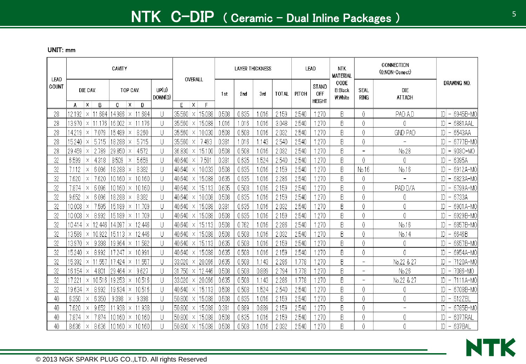| LEAD  |                 |               |                  | CAVITY          |               |                         |                  |                 | OVERALL                         |       | <b>LAYER THICKNESS</b> |                 |              |       | <b>LEAD</b>                   | <b>NTK</b><br><b>MATERIAL</b>      |                          | CONNECTION<br>(0:NON-Conect) |              |                                      |
|-------|-----------------|---------------|------------------|-----------------|---------------|-------------------------|------------------|-----------------|---------------------------------|-------|------------------------|-----------------|--------------|-------|-------------------------------|------------------------------------|--------------------------|------------------------------|--------------|--------------------------------------|
| COUNT | A               | DIE CAV.<br>Χ | B                | C               | TOP CAV.<br>X | D                       | UP(U)<br>DOWN(D) | E               | $\boldsymbol{\mathsf{x}}$<br>E  | 1st   | 2nd                    | 3 <sub>rd</sub> | <b>TOTAL</b> | PITCH | STAND<br>OFF<br><b>HEIGHT</b> | CODE<br><b>B:Black</b><br>W: White | SEAL<br><b>RING</b>      | <b>DIE</b><br><b>ATTACH</b>  |              | Drawing No.                          |
| 28    | 12.192          |               | $\vert$ × 11.684 | 14.986          | ΙX.           | 11.684                  | U                | 35.560          | 15.088<br>X.                    | 0.508 | 0.635                  | 1.016           | 2.159        | 2.540 | 1.270                         | B                                  | 0                        | PAD A,D                      |              | 6945B-MO<br>$ D $ –                  |
| 28    | 13.970          | Х             | -176             | 16.002          | Х             | 11.176                  | U                | 35.560          | 15.088<br>Χ                     | 1.016 | .016                   | 1.016           | 3.048        | 2.540 | 1.270                         | B                                  | 0                        | 0                            | ID.          | 6881AAL<br>$\overline{\phantom{a}}$  |
| 28    | 14.219          | ΙX            | 7.079            | 15.489          | Χ             | 8.260                   | U                | 35.560          | 10.030<br>X                     | 0.508 | 0.508                  | 1.016           | 2.032        | 2.540 | 1.270                         | B                                  | 0                        | <b>GND PAD</b>               | ID.          | 6543AA<br>$\overline{\phantom{a}}$   |
| 28    | 15.240          | ΙX            | 5.715            | 18.288          | Χ             | 5.715                   | U                | 35.560          | 7.493<br>X                      | 0.381 | 1.016                  | 1.143           | 2.540        | 2.540 | 1.270                         | B                                  | 0                        | $\overline{\phantom{0}}$     |              | 6777B-MO                             |
| 28    | 29.459          |               | 2.789            | 29.850          |               | 4.572                   | U                | 36.830          | 15.100<br>Х                     | 0.508 | 0.508                  | .016            | 2.032        | 2.540 | 270                           | B                                  | $-$                      | No.28                        | ID           | 903C-MO<br>$\overline{\phantom{m}}$  |
| 32    | 6.599           | Χ             | 4.318            | 8.509           | Χ             | 5.659                   | U                | 40.640          | 7.501<br>Х                      | 0.381 | 0.635                  | .524            | 2.540        | 2.540 | 1.270                         | B                                  | 0                        | 0                            | ID           | 6395A<br>$\overline{\phantom{m}}$    |
| 32    | 7.112           |               | 6.096            | 18.288          |               | 8.382                   | U                | $40.640 \times$ | 10.033                          | 0.508 | 0.635                  | 1.016           | 2.159        | 2.540 | 1.270                         | B                                  | No.16                    | No.16                        |              | 6912A-MO<br>$\overline{\phantom{m}}$ |
| 32    | 7.620           | $\times$      | 7.620            | 10.160          | $\times$      | 10.160                  | U                | $40.640 \times$ | 15.088                          | 0.635 | 0.635                  | 1.016           | 2.286        | 2.540 | 1.270                         | B                                  | 0                        | $\overline{a}$               | $\mathbb{D}$ | 6823A-MO<br>$\overline{\phantom{a}}$ |
| 32    | 7.874           | $\times$      | 6.096            | 10.160          | $\times$      | 10.160                  | U                | $40.640 \times$ | 15.113                          | 0.635 | 0.508                  | 1.016           | 2.159        | 2.540 | 1.270                         | B                                  | 0                        | PAD D/A                      | ID.          | 6799A-MO<br>$\overline{\phantom{a}}$ |
| 32    | 9.652           | $\times$      | 6.096            | 18.288          | Χ             | 8.382                   | U                | $40.640 \times$ | 10.008                          | 0.508 | 0.635                  | 1.016           | 2.159        | 2.540 | 1.270                         | B                                  | 0                        | 0                            | D            | 6733A<br>$\overline{a}$              |
| 32    | 10.008          | X             | 7.595            | 15.189          | ΙX            | 11.709                  | U                | $40.640 \times$ | 15.088                          | 0.381 | 0.635                  | 1.016           | 2.032        | 2.540 | 1.270                         | B                                  | 0                        | 0                            |              | 6901A-MO<br>$ D $ –                  |
| 32    | 10.008          | $\times$      | 8.992            | 15.189          | $\times$      | 11.709                  | U                | 40.640          | 15.088<br>$\times$              | 0.508 | 0.635                  | 1.016           | 2.159        | 2.540 | 1.270                         | B                                  | 0                        | 0                            | $\mathbb{D}$ | 6929B-MO<br>$\overline{ }$           |
| 32    | $10.414 \times$ |               | 12.446           | 14.097          | ΙX            | 12.446                  | U                | 40.640          | 15.113<br>Х                     | 0.508 | 0.762                  | 1.016           | 2.286        | 2.540 | 1.270                         | B                                  | 0                        | No.16                        | ID.          | 6857B-MO<br>$\qquad \qquad -$        |
| 32    | 13.589          | ΙX            | 10.922           | 15.113          | ΙX.           | 12.446                  | U                | 40.640          | 15.088<br>X                     | 0.508 | 0.508                  | 1.016           | 2.032        | 2.540 | 1.270                         | B                                  | 0                        | No.14                        |              | 6646B<br>$ D $ –                     |
| 32    | 13.970   ×      |               | 9.398            | 19.964          | ΙX.           | 11.582                  | U                | $40.640 \times$ | 15.113                          | 0.635 | 0.508                  | 1.016           | 2.159        | 2.540 | 1.270                         | B                                  | 0                        | 0                            | ID.          | 6657B-MO<br>$\overline{a}$           |
| 32    | 15.240          | $\times$      | 8.992            | 7.247           |               | $\vert$ $\times$ 10.991 | U                | $40.640 \times$ | 15.088                          | 0.635 | 0.508                  | 1.016           | 2.159        | 2.540 | 1.270                         | B                                  | 0                        | 0                            | ID.          | 6954A-MO<br>$-$                      |
| 32    | 15.392          | $\times$      | 11.557           | 17.424          | ΙX.           | 11.557                  | U                | 33.020          | 20.066<br>$\boldsymbol{\times}$ | 0.635 | 0.508                  | .143            | 2.286        | 1.778 | 1.270                         | B                                  | $\overline{\phantom{0}}$ | No.22 & 27                   | ID.          | $-1120A-MO$                          |
| 32    | $16.154 \times$ |               | 4.801            | 29.464          | Х             | 9.627                   | U                | 31.750          | 12.446<br>  X                   | 0.508 | 0.508                  | 0.889           | 2.794        | .778  | 270                           | B                                  | $-$                      | No.26                        |              | 7086-MO<br>$ D $ –                   |
| 32    | 17.221          | $\times$      | 10.516           | 19.253          | Χ             | 10.516                  | U                | 33.020          | 20.066<br>ΙX.                   | 0.635 | 0.508                  | .143            | 2.286        | 1.778 | 270                           | B                                  | $\overline{\phantom{0}}$ | No.22 & 27                   |              | -  7111A-MO                          |
| 32    | 19.634          |               | 8.992            | 19.634   ×      |               | 10.516                  | U                | $40.640 \times$ | 15.113                          | 0.508 | 0.508                  | .524            | 2.540        | 2.540 | 1.270                         | B                                  | 0                        | 0                            | ID           | 6708B-MO<br>$\overline{a}$           |
| 40    | 6.350           | $\times$      | 6.350            | 9.398           | Χ             | 9.398                   | U                | 50.800          | 15.088<br>  X                   | 0.508 | 0.635                  | 1.016           | 2.159        | 2.540 | 1.270                         | B                                  | 0                        | 0                            | D            | $-512ZB$                             |
| 40    | 7.620           | Х             | 9.652            | 1.938           | Χ             | 11.938                  | U                | 50.800 ×        | 15.088                          | 0.381 | 0.889                  | 0.889           | 2.159        | 2.540 | 1.270                         | B                                  | 0                        |                              |              | 6785B-MO<br>$-$                      |
| 40    | 7.874           | $\times$      | 7.874            | 10.160          | Х             | 10.160                  | U                | 50.800          | 15.088<br>$\boldsymbol{\times}$ | 0.508 | 0.635                  | 1.016           | 2.159        | 2.540 | $\overline{270}$              | B                                  | 0                        | 0                            | ID.          | <b>6077RAL</b><br>$\overline{a}$     |
| 40    | 8.636           | Х             | 8.636            | $10.160 \times$ |               | 10.160                  | U                | $50.800 \times$ | 15.088                          | 0.508 | 0.508                  | 1.016           | 2.032        | 2.540 | 270                           | B                                  | 0                        | 0                            |              | $ D  - 637 BAL$                      |